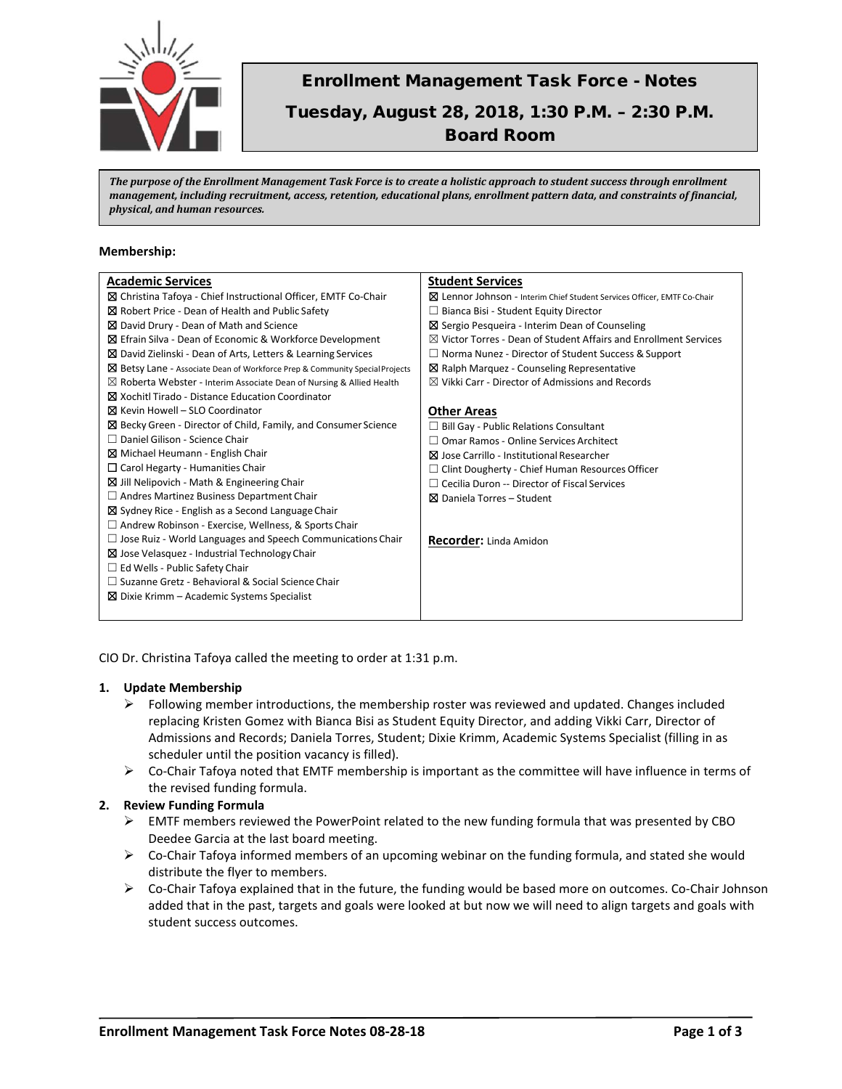

# Enrollment Management Task Force - Notes Tuesday, August 28, 2018, 1:30 P.M. – 2:30 P.M.

Board Room

*The purpose of the Enrollment Management Task Force is to create a holistic approach to student success through enrollment management, including recruitment, access, retention, educational plans, enrollment pattern data, and constraints of financial, physical, and human resources.*

### **Membership:**

| <b>Academic Services</b>                                                        | <b>Student Services</b>                                                     |
|---------------------------------------------------------------------------------|-----------------------------------------------------------------------------|
| ⊠ Christina Tafoya - Chief Instructional Officer, EMTF Co-Chair                 | ⊠ Lennor Johnson - Interim Chief Student Services Officer, EMTF Co-Chair    |
| ⊠ Robert Price - Dean of Health and Public Safety                               | $\Box$ Bianca Bisi - Student Equity Director                                |
| ⊠ David Drury - Dean of Math and Science                                        | $\boxtimes$ Sergio Pesqueira - Interim Dean of Counseling                   |
| ⊠ Efrain Silva - Dean of Economic & Workforce Development                       | $\boxtimes$ Victor Torres - Dean of Student Affairs and Enrollment Services |
| ⊠ David Zielinski - Dean of Arts, Letters & Learning Services                   | $\Box$ Norma Nunez - Director of Student Success & Support                  |
| ⊠ Betsy Lane - Associate Dean of Workforce Prep & Community Special Projects    | $\boxtimes$ Ralph Marquez - Counseling Representative                       |
| $\boxtimes$ Roberta Webster - Interim Associate Dean of Nursing & Allied Health | $\boxtimes$ Vikki Carr - Director of Admissions and Records                 |
| <b>X</b> Xochitl Tirado - Distance Education Coordinator                        |                                                                             |
| <b>X</b> Kevin Howell – SLO Coordinator                                         | <b>Other Areas</b>                                                          |
| ⊠ Becky Green - Director of Child, Family, and Consumer Science                 | $\Box$ Bill Gay - Public Relations Consultant                               |
| $\Box$ Daniel Gilison - Science Chair                                           | $\Box$ Omar Ramos - Online Services Architect                               |
| Michael Heumann - English Chair                                                 | <b>⊠</b> Jose Carrillo - Institutional Researcher                           |
| $\Box$ Carol Hegarty - Humanities Chair                                         | $\Box$ Clint Dougherty - Chief Human Resources Officer                      |
| ⊠ Jill Nelipovich - Math & Engineering Chair                                    | $\Box$ Cecilia Duron -- Director of Fiscal Services                         |
| $\Box$ Andres Martinez Business Department Chair                                | ⊠ Daniela Torres – Student                                                  |
| ⊠ Sydney Rice - English as a Second Language Chair                              |                                                                             |
| $\Box$ Andrew Robinson - Exercise, Wellness, & Sports Chair                     |                                                                             |
| $\Box$ Jose Ruiz - World Languages and Speech Communications Chair              | <b>Recorder:</b> Linda Amidon                                               |
| $\boxtimes$ Jose Velasquez - Industrial Technology Chair                        |                                                                             |
| $\Box$ Ed Wells - Public Safety Chair                                           |                                                                             |
| □ Suzanne Gretz - Behavioral & Social Science Chair                             |                                                                             |
| $\boxtimes$ Dixie Krimm – Academic Systems Specialist                           |                                                                             |
|                                                                                 |                                                                             |

CIO Dr. Christina Tafoya called the meeting to order at 1:31 p.m.

# **1. Update Membership**

- $\triangleright$  Following member introductions, the membership roster was reviewed and updated. Changes included replacing Kristen Gomez with Bianca Bisi as Student Equity Director, and adding Vikki Carr, Director of Admissions and Records; Daniela Torres, Student; Dixie Krimm, Academic Systems Specialist (filling in as scheduler until the position vacancy is filled).
- $\triangleright$  Co-Chair Tafoya noted that EMTF membership is important as the committee will have influence in terms of the revised funding formula.

# **2. Review Funding Formula**

- $\triangleright$  EMTF members reviewed the PowerPoint related to the new funding formula that was presented by CBO Deedee Garcia at the last board meeting.
- $\triangleright$  Co-Chair Tafoya informed members of an upcoming webinar on the funding formula, and stated she would distribute the flyer to members.
- $\triangleright$  Co-Chair Tafoya explained that in the future, the funding would be based more on outcomes. Co-Chair Johnson added that in the past, targets and goals were looked at but now we will need to align targets and goals with student success outcomes.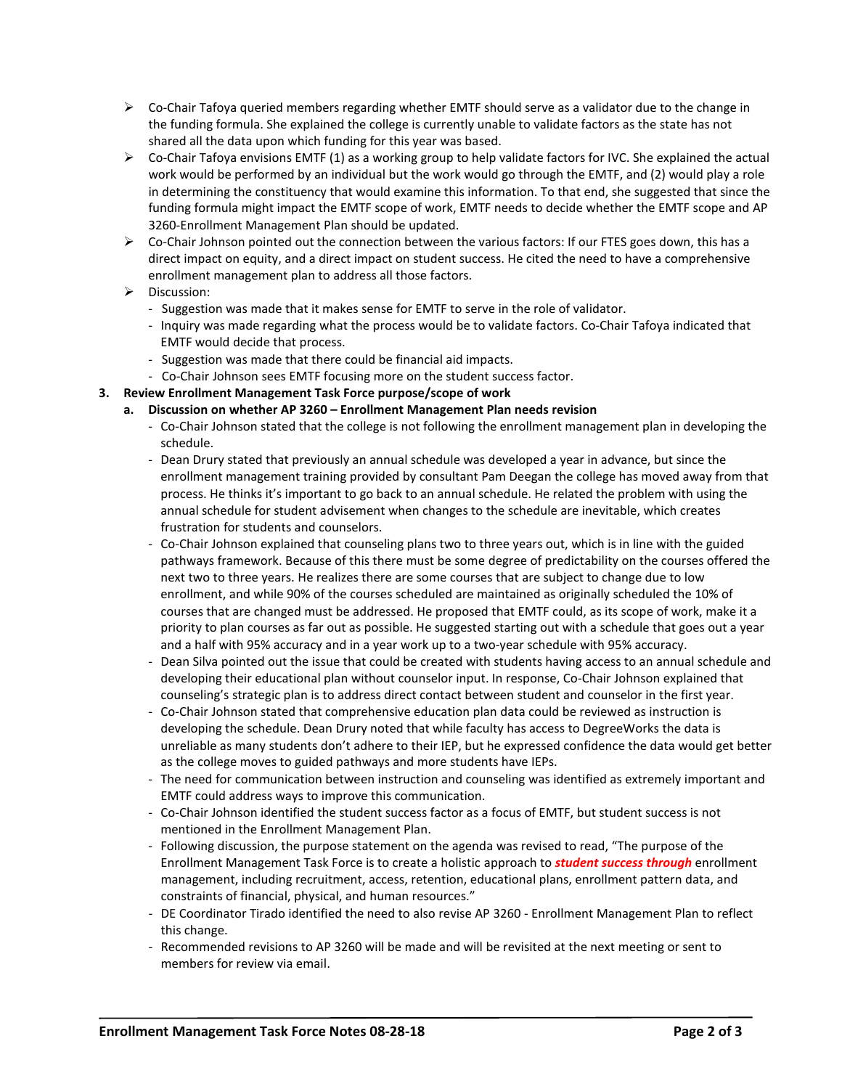- $\triangleright$  Co-Chair Tafoya queried members regarding whether EMTF should serve as a validator due to the change in the funding formula. She explained the college is currently unable to validate factors as the state has not shared all the data upon which funding for this year was based.
- $\triangleright$  Co-Chair Tafoya envisions EMTF (1) as a working group to help validate factors for IVC. She explained the actual work would be performed by an individual but the work would go through the EMTF, and (2) would play a role in determining the constituency that would examine this information. To that end, she suggested that since the funding formula might impact the EMTF scope of work, EMTF needs to decide whether the EMTF scope and AP 3260-Enrollment Management Plan should be updated.
- $\triangleright$  Co-Chair Johnson pointed out the connection between the various factors: If our FTES goes down, this has a direct impact on equity, and a direct impact on student success. He cited the need to have a comprehensive enrollment management plan to address all those factors.
- $\triangleright$  Discussion:
	- Suggestion was made that it makes sense for EMTF to serve in the role of validator.
	- Inquiry was made regarding what the process would be to validate factors. Co-Chair Tafoya indicated that EMTF would decide that process.
	- Suggestion was made that there could be financial aid impacts.
	- Co-Chair Johnson sees EMTF focusing more on the student success factor.
- **3. Review Enrollment Management Task Force purpose/scope of work**
	- **a. Discussion on whether AP 3260 – Enrollment Management Plan needs revision**
		- Co-Chair Johnson stated that the college is not following the enrollment management plan in developing the schedule.
		- Dean Drury stated that previously an annual schedule was developed a year in advance, but since the enrollment management training provided by consultant Pam Deegan the college has moved away from that process. He thinks it's important to go back to an annual schedule. He related the problem with using the annual schedule for student advisement when changes to the schedule are inevitable, which creates frustration for students and counselors.
		- Co-Chair Johnson explained that counseling plans two to three years out, which is in line with the guided pathways framework. Because of this there must be some degree of predictability on the courses offered the next two to three years. He realizes there are some courses that are subject to change due to low enrollment, and while 90% of the courses scheduled are maintained as originally scheduled the 10% of courses that are changed must be addressed. He proposed that EMTF could, as its scope of work, make it a priority to plan courses as far out as possible. He suggested starting out with a schedule that goes out a year and a half with 95% accuracy and in a year work up to a two-year schedule with 95% accuracy.
		- Dean Silva pointed out the issue that could be created with students having access to an annual schedule and developing their educational plan without counselor input. In response, Co-Chair Johnson explained that counseling's strategic plan is to address direct contact between student and counselor in the first year.
		- Co-Chair Johnson stated that comprehensive education plan data could be reviewed as instruction is developing the schedule. Dean Drury noted that while faculty has access to DegreeWorks the data is unreliable as many students don't adhere to their IEP, but he expressed confidence the data would get better as the college moves to guided pathways and more students have IEPs.
		- The need for communication between instruction and counseling was identified as extremely important and EMTF could address ways to improve this communication.
		- Co-Chair Johnson identified the student success factor as a focus of EMTF, but student success is not mentioned in the Enrollment Management Plan.
		- Following discussion, the purpose statement on the agenda was revised to read, "The purpose of the Enrollment Management Task Force is to create a holistic approach to *student success through* enrollment management, including recruitment, access, retention, educational plans, enrollment pattern data, and constraints of financial, physical, and human resources."
		- DE Coordinator Tirado identified the need to also revise AP 3260 Enrollment Management Plan to reflect this change.
		- Recommended revisions to AP 3260 will be made and will be revisited at the next meeting or sent to members for review via email.